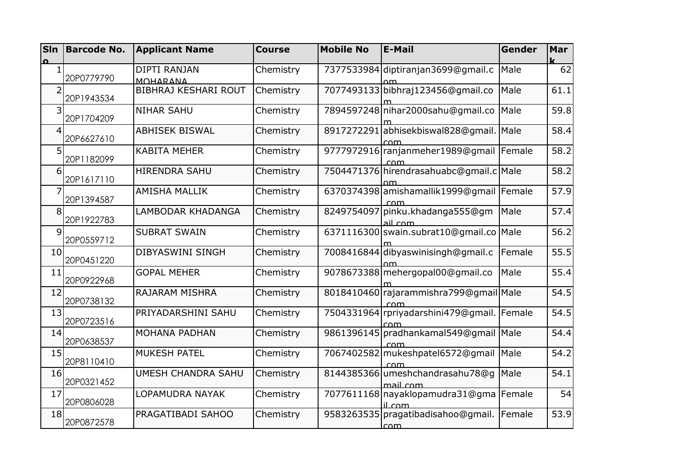| <b>SIn</b>     | <b>Barcode No.</b> | <b>Applicant Name</b>       | <b>Course</b> | <b>Mobile No</b> | <b>E-Mail</b>                              | Gender      | Mar  |
|----------------|--------------------|-----------------------------|---------------|------------------|--------------------------------------------|-------------|------|
| $\Omega$       |                    |                             |               |                  |                                            |             |      |
|                |                    | <b>DIPTI RANJAN</b>         | Chemistry     |                  | 7377533984 diptiranjan3699@gmail.c         | Male        | 62   |
|                | 20P0779790         | MOHARANA                    |               |                  |                                            |             |      |
| $\overline{2}$ |                    | <b>BIBHRAJ KESHARI ROUT</b> | Chemistry     |                  | 7077493133 bibhraj123456@gmail.co          | Male        | 61.1 |
|                | 20P1943534         |                             |               |                  |                                            |             |      |
| 3              | 20P1704209         | <b>NIHAR SAHU</b>           | Chemistry     |                  | 7894597248 nihar2000sahu@gmail.co          | Male        | 59.8 |
| $\overline{4}$ |                    | <b>ABHISEK BISWAL</b>       | Chemistry     |                  | 8917272291 abhisekbiswal828@gmail. Male    |             | 58.4 |
|                | 20P6627610         |                             |               |                  | rnm                                        |             |      |
| 5              |                    | <b>KABITA MEHER</b>         | Chemistry     |                  | 9777972916 ranjanmeher 1989@gmail Female   |             | 58.2 |
|                | 20P1182099         |                             |               |                  | com                                        |             |      |
| 6              |                    | <b>HIRENDRA SAHU</b>        | Chemistry     |                  | 7504471376 hirendrasahuabc@gmail.c Male    |             | 58.2 |
|                | 20P1617110         |                             |               |                  |                                            |             |      |
| 7              |                    | <b>AMISHA MALLIK</b>        | Chemistry     |                  | 6370374398 amishamallik1999@gmail Female   |             | 57.9 |
|                | 20P1394587         |                             |               |                  |                                            |             |      |
| 8              |                    | LAMBODAR KHADANGA           | Chemistry     |                  | 8249754097 pinku.khadanga 555@gm           | Male        | 57.4 |
|                | 20P1922783         |                             |               |                  | ail.com                                    |             |      |
| 9              |                    | <b>SUBRAT SWAIN</b>         | Chemistry     |                  | 6371116300 swain.subrat10@gmail.co Male    |             | 56.2 |
|                | 20P0559712         |                             |               |                  |                                            |             |      |
| 10             |                    | DIBYASWINI SINGH            | Chemistry     |                  | 7008416844 dibyaswinisingh@gmail.c         | Female      | 55.5 |
|                | 20P0451220         |                             |               |                  |                                            |             |      |
| 11             |                    | <b>GOPAL MEHER</b>          | Chemistry     |                  | 9078673388 mehergopal00@gmail.co           | Male        | 55.4 |
|                | 20P0922968         |                             |               |                  |                                            |             |      |
| 12             |                    | RAJARAM MISHRA              | Chemistry     |                  | 8018410460 rajarammishra799@gmail Male     |             | 54.5 |
|                | 20P0738132         |                             |               |                  | $\mathsf{com}$                             |             |      |
| 13             |                    | PRIYADARSHINI SAHU          | Chemistry     |                  | 7504331964 rpriyadarshini479@gmail. Female |             | 54.5 |
|                | 20P0723516         |                             |               |                  |                                            |             |      |
| 14             |                    | <b>MOHANA PADHAN</b>        | Chemistry     |                  | 9861396145 pradhankamal549@gmail Male      |             | 54.4 |
|                | 20P0638537         |                             |               |                  |                                            |             |      |
| 15             |                    | <b>MUKESH PATEL</b>         | Chemistry     |                  | 7067402582 mukeshpatel 6572@qmail          | <b>Male</b> | 54.2 |
|                | 20P8110410         |                             |               |                  |                                            |             |      |
| 16             |                    | <b>UMESH CHANDRA SAHU</b>   | Chemistry     |                  | 8144385366 umeshchandrasahu78@q            | Male        | 54.1 |
|                | 20P0321452         |                             |               |                  | mail com                                   |             |      |
| 17             |                    | LOPAMUDRA NAYAK             | Chemistry     |                  | 7077611168 nayaklopamudra31@gma Female     |             | 54   |
|                | 20P0806028         |                             |               |                  | il.com                                     |             |      |
| 18             |                    | PRAGATIBADI SAHOO           | Chemistry     |                  | 9583263535 pragatibadisahoo@gmail. Female  |             | 53.9 |
|                | 20P0872578         |                             |               |                  |                                            |             |      |
|                |                    |                             |               |                  | com                                        |             |      |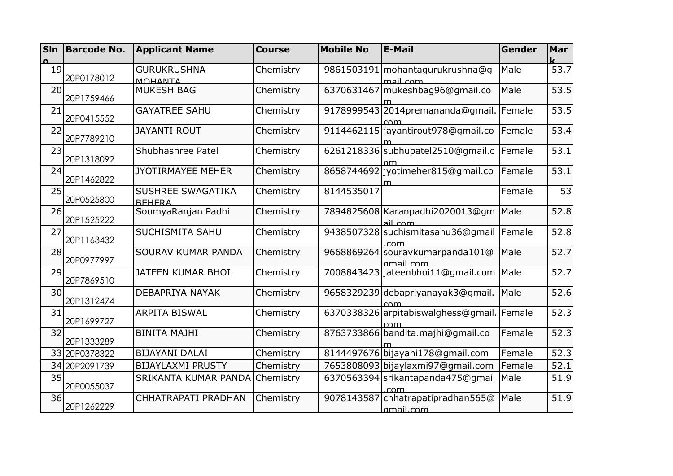| <b>SIn</b> | <b>Barcode No.</b>   | <b>Applicant Name</b>       | <b>Course</b> | <b>Mobile No</b> | <b>E-Mail</b>                                     | Gender | Mar  |
|------------|----------------------|-----------------------------|---------------|------------------|---------------------------------------------------|--------|------|
| C          |                      |                             |               |                  |                                                   |        |      |
| 19         | 20P0178012           | <b>GURUKRUSHNA</b>          | Chemistry     |                  | 9861503191 mohantagurukrushna@g                   | Male   | 53.7 |
|            |                      | MOHANTA                     |               |                  | mail.com                                          |        |      |
| 20         | 20P1759466           | <b>MUKESH BAG</b>           | Chemistry     |                  | 6370631467 mukeshbag96@gmail.co                   | Male   | 53.5 |
|            |                      |                             |               |                  |                                                   |        |      |
| 21         | 20P0415552           | <b>GAYATREE SAHU</b>        | Chemistry     |                  | 9178999543 2014 premananda@gmail. Female          |        | 53.5 |
| 22         |                      | <b>JAYANTI ROUT</b>         |               |                  | rnm<br>9114462115 jayantirout 978@gmail.co        | Female | 53.4 |
|            | 20P7789210           |                             | Chemistry     |                  |                                                   |        |      |
| 23         |                      | Shubhashree Patel           | Chemistry     |                  | 6261218336 subhupatel2510@gmail.c Female          |        | 53.1 |
|            | 20P1318092           |                             |               |                  |                                                   |        |      |
| 24         |                      | <b>JYOTIRMAYEE MEHER</b>    | Chemistry     |                  | 8658744692 jyotimeher 815@gmail.co                | Female | 53.1 |
|            | 20P1462822           |                             |               |                  |                                                   |        |      |
| 25         |                      | SUSHREE SWAGATIKA           | Chemistry     | 8144535017       |                                                   | Female | 53   |
|            | 20P0525800           | <b>BEHERA</b>               |               |                  |                                                   |        |      |
| 26         |                      | SoumyaRanjan Padhi          | Chemistry     |                  | 7894825608 Karanpadhi 2020013@gm                  | Male   | 52.8 |
|            | 20P1525222           |                             |               |                  | ail.com                                           |        |      |
| 27         |                      | <b>SUCHISMITA SAHU</b>      | Chemistry     |                  | 9438507328 suchismitasahu36@gmail Female          |        | 52.8 |
|            | 20P1163432           |                             |               |                  | com                                               |        |      |
| 28         |                      | SOURAV KUMAR PANDA          | Chemistry     |                  | 9668869264 souravkumarpanda101@                   | Male   | 52.7 |
|            | 20P0977997           |                             |               |                  | amail com                                         |        |      |
| 29         | 20P7869510           | <b>JATEEN KUMAR BHOI</b>    | Chemistry     |                  | 7008843423 jateenbhoi11@gmail.com                 | Male   | 52.7 |
| 30         |                      | <b>DEBAPRIYA NAYAK</b>      |               |                  |                                                   | Male   | 52.6 |
|            | 20P1312474           |                             | Chemistry     |                  | 9658329239 debapriyanayak3@gmail.                 |        |      |
| 31         |                      | <b>ARPITA BISWAL</b>        | Chemistry     |                  | com<br>6370338326 arpitabiswalghess@gmail. Female |        | 52.3 |
|            | 20P1699727           |                             |               |                  |                                                   |        |      |
| 32         |                      | <b>BINITA MAJHI</b>         | Chemistry     |                  | com<br>8763733866 bandita.majhi@gmail.co          | Female | 52.3 |
|            | 20P1333289           |                             |               |                  |                                                   |        |      |
|            | 33 20P0378322        | <b>BIJAYANI DALAI</b>       | Chemistry     |                  | 8144497676 bijayani178@gmail.com                  | Female | 52.3 |
|            | 34 20 P 20 9 1 7 3 9 | <b>BIJAYLAXMI PRUSTY</b>    | Chemistry     |                  | 7653808093 bijaylaxmi97@gmail.com                 | Female | 52.1 |
| 35         |                      | <b>SRIKANTA KUMAR PANDA</b> | Chemistry     |                  | 6370563394 srikantapanda475@gmail                 | Male   | 51.9 |
|            | 20P0055037           |                             |               |                  | com                                               |        |      |
| 36         |                      | CHHATRAPATI PRADHAN         | Chemistry     |                  | 9078143587 chhatrapatipradhan565@                 | Male   | 51.9 |
|            | 20P1262229           |                             |               |                  | amail com                                         |        |      |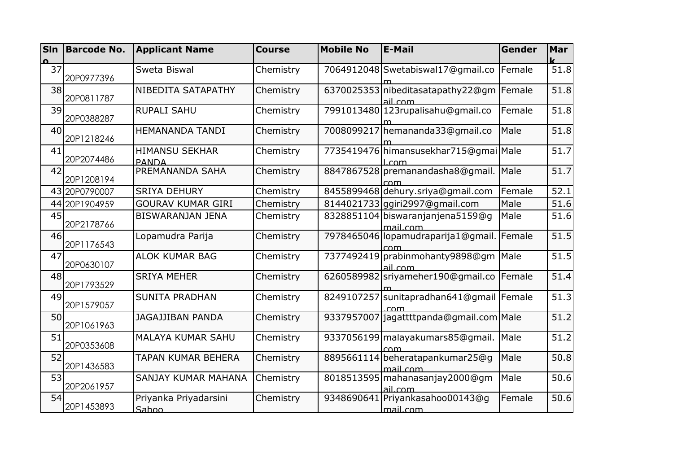| <b>SIn</b> | <b>Barcode No.</b> | <b>Applicant Name</b>                 | <b>Course</b> | <b>Mobile No</b> | <b>E-Mail</b>                                         | Gender | Mar  |
|------------|--------------------|---------------------------------------|---------------|------------------|-------------------------------------------------------|--------|------|
|            |                    |                                       |               |                  |                                                       |        | lz.  |
| 37         | 20P0977396         | Sweta Biswal                          | Chemistry     |                  | 7064912048 Swetabiswal17@gmail.co                     | Female | 51.8 |
| 38         | 20P0811787         | NIBEDITA SATAPATHY                    | Chemistry     |                  | 6370025353 nibeditasatapathy22@gm   Female<br>ail com |        | 51.8 |
| 39         | 20P0388287         | <b>RUPALI SAHU</b>                    | Chemistry     |                  | 7991013480 123rupalisahu@gmail.co                     | Female | 51.8 |
| 40         | 20P1218246         | <b>HEMANANDA TANDI</b>                | Chemistry     | 7008099217       | hemananda33@gmail.co                                  | Male   | 51.8 |
| 41         | 20P2074486         | <b>HIMANSU SEKHAR</b><br><b>PANDA</b> | Chemistry     |                  | 7735419476 himansusekhar715@gmai Male<br>com          |        | 51.7 |
| 42         | 20P1208194         | PREMANANDA SAHA                       | Chemistry     |                  | 8847867528 premanandasha8@gmail.<br>com               | Male   | 51.7 |
|            | 43 20P0790007      | <b>SRIYA DEHURY</b>                   | Chemistry     |                  | 8455899468 dehury.sriya@gmail.com                     | Female | 52.1 |
|            | 44 20P1904959      | <b>GOURAV KUMAR GIRI</b>              | Chemistry     |                  | 8144021733 ggiri2997@gmail.com                        | Male   | 51.6 |
| 45         | 20P2178766         | <b>BISWARANJAN JENA</b>               | Chemistry     |                  | 8328851104 biswaranjanjena 5159@g<br>mail.com         | Male   | 51.6 |
| 46         | 20P1176543         | Lopamudra Parija                      | Chemistry     |                  | 7978465046 lopamudraparija1@gmail.<br>com             | Female | 51.5 |
| 47         | 20P0630107         | <b>ALOK KUMAR BAG</b>                 | Chemistry     |                  | 7377492419 prabinmohanty 9898@gm<br>ail com           | Male   | 51.5 |
| 48         | 20P1793529         | <b>SRIYA MEHER</b>                    | Chemistry     |                  | 6260589982 sriyameher190@gmail.co                     | Female | 51.4 |
| 49         | 20P1579057         | <b>SUNITA PRADHAN</b>                 | Chemistry     | 8249107257       | sunitapradhan641@gmail Female<br>com                  |        | 51.3 |
| 50         | 20P1061963         | <b>JAGAJJIBAN PANDA</b>               | Chemistry     |                  | 9337957007 jagattttpanda@gmail.com Male               |        | 51.2 |
| 51         | 20P0353608         | <b>MALAYA KUMAR SAHU</b>              | Chemistry     |                  | 9337056199 malayakumars85@gmail.<br>com               | Male   | 51.2 |
| 52         | 20P1436583         | TAPAN KUMAR BEHERA                    | Chemistry     | 8895661114       | beheratapankumar25@g<br>mail.com                      | Male   | 50.8 |
| 53         | 20P2061957         | SANJAY KUMAR MAHANA                   | Chemistry     |                  | 8018513595 mahanasanjay 2000@gm<br>ail com            | Male   | 50.6 |
| 54         | 20P1453893         | Priyanka Priyadarsini<br>Sahoo        | Chemistry     |                  | 9348690641 Priyankasahoo00143@q<br>mail com           | Female | 50.6 |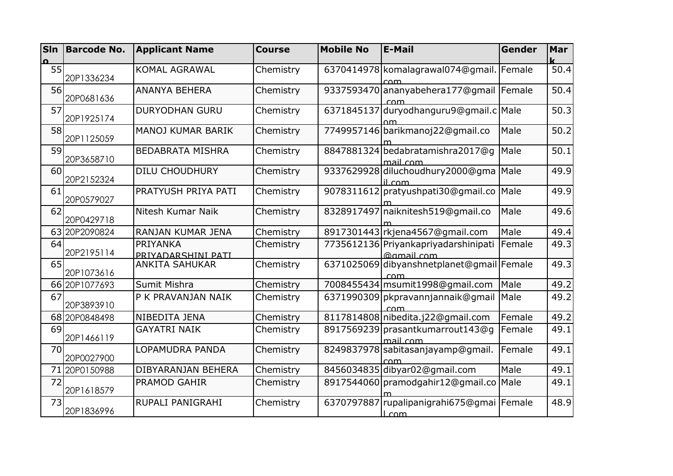| <b>SIn</b> | <b>Barcode No.</b> | <b>Applicant Name</b>                 | <b>Course</b> | <b>Mobile No</b> | <b>E-Mail</b>                                             | Gender | Mar  |
|------------|--------------------|---------------------------------------|---------------|------------------|-----------------------------------------------------------|--------|------|
|            |                    |                                       |               |                  |                                                           |        |      |
| 55         | 20P1336234         | <b>KOMAL AGRAWAL</b>                  | Chemistry     |                  | 6370414978 komalagrawal074@gmail. Female<br>com           |        | 50.4 |
| 56         | 20P0681636         | <b>ANANYA BEHERA</b>                  | Chemistry     |                  | 9337593470 ananyabehera177@gmail Female<br>com            |        | 50.4 |
| 57         | 20P1925174         | <b>DURYODHAN GURU</b>                 | Chemistry     |                  | 6371845137 duryodhanguru9@gmail.c Male                    |        | 50.3 |
| 58         | 20P1125059         | <b>MANOJ KUMAR BARIK</b>              | Chemistry     |                  | 7749957146 barikmanoj22@gmail.co                          | Male   | 50.2 |
| 59         | 20P3658710         | <b>BEDABRATA MISHRA</b>               | Chemistry     |                  | 8847881324 bedabratamishra2017@g<br>mail.com              | Male   | 50.1 |
| 60         | 20P2152324         | <b>DILU CHOUDHURY</b>                 | Chemistry     |                  | 9337629928 diluchoudhury 2000@gma<br>il com               | Male   | 49.9 |
| 61         | 20P0579027         | PRATYUSH PRIYA PATI                   | Chemistry     |                  | 9078311612 pratyushpati30@gmail.co                        | Male   | 49.9 |
| 62         | 20P0429718         | Nitesh Kumar Naik                     | Chemistry     |                  | 8328917497 naiknitesh 519@gmail.co                        | Male   | 49.6 |
|            | 63 20P2090824      | RANJAN KUMAR JENA                     | Chemistry     |                  | 8917301443 rkjena4567@gmail.com                           | Male   | 49.4 |
| 64         | 20P2195114         | <b>PRIYANKA</b><br>PRIYADARSHINI PATI | Chemistry     |                  | 7735612136 Priyankapriyadarshinipati<br><b>@gmail.com</b> | Female | 49.3 |
| 65         | 20P1073616         | <b>ANKITA SAHUKAR</b>                 | Chemistry     |                  | 6371025069 dibyanshnetplanet@gmail Female<br>com          |        | 49.3 |
|            | 66 20P1077693      | Sumit Mishra                          | Chemistry     |                  | 7008455434 msumit 1998@gmail.com                          | Male   | 49.2 |
| 67         | 20P3893910         | P K PRAVANJAN NAIK                    | Chemistry     |                  | 6371990309 pkpravannjannaik@gmail<br>com                  | Male   | 49.2 |
|            | 68 20P0848498      | NIBEDITA JENA                         | Chemistry     |                  | 8117814808 nibedita.j22@gmail.com                         | Female | 49.2 |
| 69         | 20P1466119         | <b>GAYATRI NAIK</b>                   | Chemistry     |                  | 8917569239 prasantkumarrout 143@q<br>mail.com             | Female | 49.1 |
| 70         | 20P0027900         | LOPAMUDRA PANDA                       | Chemistry     |                  | 8249837978 sabitasanjayamp@gmail.                         | Female | 49.1 |
|            | 71 20P0150988      | DIBYARANJAN BEHERA                    | Chemistry     |                  | 8456034835 dibyar02@gmail.com                             | Male   | 49.1 |
| 72         | 20P1618579         | <b>PRAMOD GAHIR</b>                   | Chemistry     |                  | 8917544060 pramodgahir12@gmail.co                         | Male   | 49.1 |
| 73         | 20P1836996         | RUPALI PANIGRAHI                      | Chemistry     |                  | 6370797887 rupalipanigrahi675@gmai   Female<br>$\_com$    |        | 48.9 |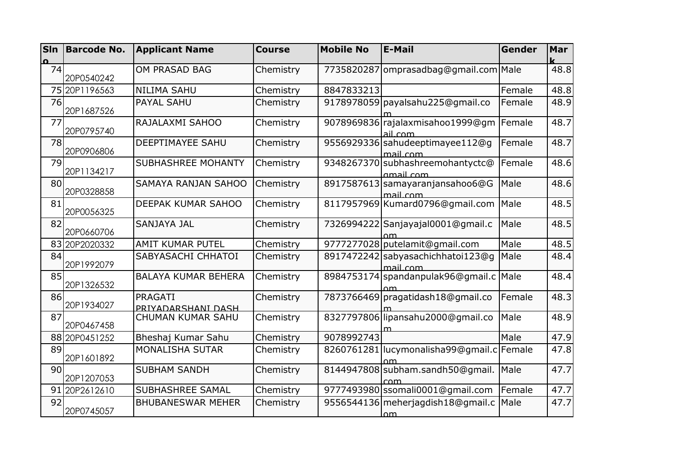| <b>SIn</b> | <b>Barcode No.</b>  | <b>Applicant Name</b>                | <b>Course</b> | <b>Mobile No</b> | lE-Mail                                        | Gender        | Mar  |
|------------|---------------------|--------------------------------------|---------------|------------------|------------------------------------------------|---------------|------|
| 74         |                     | OM PRASAD BAG                        | Chemistry     |                  | 7735820287   omprasadbag@gmail.com   Male      |               | 48.8 |
|            | 20P0540242          |                                      |               |                  |                                                |               |      |
|            | 75 20P1196563       | <b>NILIMA SAHU</b>                   | Chemistry     | 8847833213       |                                                | Female        | 48.8 |
| 76         | 20P1687526          | <b>PAYAL SAHU</b>                    | Chemistry     |                  | 9178978059 payalsahu 225@gmail.co              | Female        | 48.9 |
| 77         | 20P0795740          | RAJALAXMI SAHOO                      | Chemistry     |                  | 9078969836 rajalaxmisahoo1999@gm<br>ail.com    | <b>Female</b> | 48.7 |
| 78         | 20P0906806          | <b>DEEPTIMAYEE SAHU</b>              | Chemistry     |                  | 9556929336 sahudeeptimayee112@g<br>mail com    | Female        | 48.7 |
| 79         | 20P1134217          | <b>SUBHASHREE MOHANTY</b>            | Chemistry     |                  | 9348267370 subhashreemohantyctc@<br>amail.com  | Female        | 48.6 |
| 80         | 20P0328858          | SAMAYA RANJAN SAHOO                  | Chemistry     |                  | 8917587613 samayaranjansahoo6@G<br>mail.com    | Male          | 48.6 |
| 81         | 20P0056325          | DEEPAK KUMAR SAHOO                   | Chemistry     |                  | 8117957969 Kumard0796@gmail.com                | Male          | 48.5 |
| 82         | 20P0660706          | SANJAYA JAL                          | Chemistry     |                  | 7326994222 Sanjayajal0001@gmail.c              | Male          | 48.5 |
|            | 83 20P2020332       | <b>AMIT KUMAR PUTEL</b>              | Chemistry     |                  | 9777277028 putelamit@gmail.com                 | Male          | 48.5 |
| 84         | 20P1992079          | SABYASACHI CHHATOI                   | Chemistry     |                  | 8917472242 sabyasachichhatoi 123@q<br>mail com | Male          | 48.4 |
| 85         | 20P1326532          | <b>BALAYA KUMAR BEHERA</b>           | Chemistry     |                  | 8984753174 spandanpulak96@gmail.c              | Male          | 48.4 |
| 86         | 20P1934027          | <b>PRAGATI</b><br>PRIYADARSHANI DASH | Chemistry     |                  | 7873766469 pragatidash18@gmail.co              | Female        | 48.3 |
| 87         | 20P0467458          | CHUMAN KUMAR SAHU                    | Chemistry     |                  | 8327797806 lipansahu2000@gmail.co              | Male          | 48.9 |
|            | 88 20P0451252       | Bheshaj Kumar Sahu                   | Chemistry     | 9078992743       |                                                | Male          | 47.9 |
| 89         | 20P1601892          | MONALISHA SUTAR                      | Chemistry     |                  | 8260761281 lucymonalisha99@gmail.c             | Female        | 47.8 |
| 90         | 20P1207053          | <b>SUBHAM SANDH</b>                  | Chemistry     |                  | 8144947808 subham.sandh50@gmail.<br>rnm        | Male          | 47.7 |
|            | 91 20 P 26 1 26 1 0 | SUBHASHREE SAMAL                     | Chemistry     |                  | 9777493980 ssomali0001@gmail.com               | Female        | 47.7 |
| 92         | 20P0745057          | <b>BHUBANESWAR MEHER</b>             | Chemistry     |                  | 9556544136 meherjagdish18@gmail.c<br>Ωm        | Male          | 47.7 |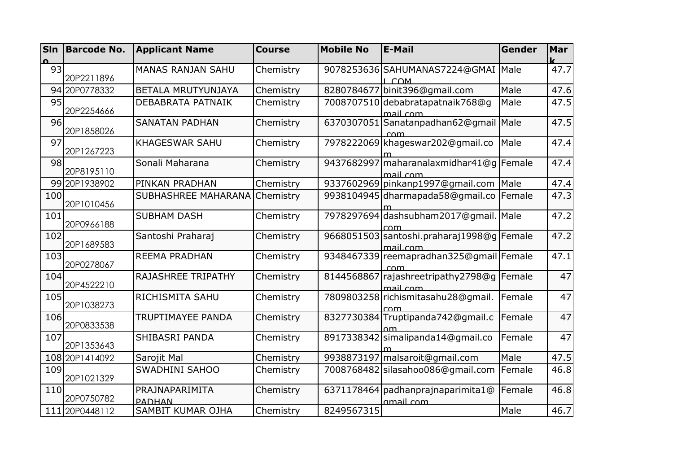| <b>SIn</b> | <b>Barcode No.</b> | <b>Applicant Name</b>           | <b>Course</b> | <b>Mobile No</b> | <b>E-Mail</b>                                            | Gender | Mar             |
|------------|--------------------|---------------------------------|---------------|------------------|----------------------------------------------------------|--------|-----------------|
|            |                    |                                 |               |                  |                                                          |        |                 |
| 93         | 20P2211896         | <b>MANAS RANJAN SAHU</b>        | Chemistry     |                  | 9078253636 SAHUMANAS7224@GMAI<br><b>LCOM</b>             | Male   | 47.7            |
|            | 94 20P0778332      | BETALA MRUTYUNJAYA              | Chemistry     | 8280784677       | binit396@gmail.com                                       | Male   | 47.6            |
| 95         | 20P2254666         | DEBABRATA PATNAIK               | Chemistry     |                  | 7008707510 debabratapatnaik768@g<br>mail com             | Male   | 47.5            |
| 96         | 20P1858026         | <b>SANATAN PADHAN</b>           | Chemistry     |                  | 6370307051 Sanatanpadhan62@gmail Male<br>com             |        | 47.5            |
| 97         | 20P1267223         | <b>KHAGESWAR SAHU</b>           | Chemistry     |                  | 7978222069 khageswar202@gmail.co                         | Male   | 47.4            |
| 98         | 20P8195110         | Sonali Maharana                 | Chemistry     |                  | 9437682997 maharanalaxmidhar41@g Female<br>mail.com      |        | 47.4            |
|            | 99 20P1938902      | PINKAN PRADHAN                  | Chemistry     |                  | 9337602969 pinkanp1997@gmail.com Male                    |        | 47.4            |
| 100        | 20P1010456         | SUBHASHREE MAHARANA             | Chemistry     |                  | 9938104945 dharmapada 58@gmail.co Female                 |        | 47.3            |
| 101        | 20P0966188         | <b>SUBHAM DASH</b>              | Chemistry     |                  | 7978297694 dashsubham2017@gmail. Male<br>rnm             |        | 47.2            |
| 102        | 20P1689583         | Santoshi Praharaj               | Chemistry     |                  | 9668051503 santoshi.praharaj1998@g Female<br>mail com    |        | 47.2            |
| 103        | 20P0278067         | <b>REEMA PRADHAN</b>            | Chemistry     |                  | 9348467339 reemapradhan325@gmail Female<br>com           |        | 47.1            |
| 104        | 20P4522210         | <b>RAJASHREE TRIPATHY</b>       | Chemistry     |                  | 8144568867 rajashreetripathy 2798@g   Female<br>mail.com |        | $\overline{47}$ |
| 105        | 20P1038273         | RICHISMITA SAHU                 | Chemistry     |                  | 7809803258 richismitasahu28@gmail.                       | Female | 47              |
| 106        | 20P0833538         | TRUPTIMAYEE PANDA               | Chemistry     |                  | 8327730384 Truptipanda742@gmail.c                        | Female | 47              |
| 107        | 20P1353643         | SHIBASRI PANDA                  | Chemistry     |                  | 8917338342 simalipanda14@gmail.co                        | Female | 47              |
|            | 108 20P1414092     | Sarojit Mal                     | Chemistry     |                  | 9938873197 malsaroit@gmail.com                           | Male   | 47.5            |
| 109        | 20P1021329         | SWADHINI SAHOO                  | Chemistry     |                  | 7008768482 silasahoo086@gmail.com                        | Female | 46.8            |
| 110        | 20P0750782         | PRAJNAPARIMITA<br><b>PADHAN</b> | Chemistry     |                  | 6371178464 padhanprajnaparimita1@<br>amail.com           | Female | 46.8            |
|            | 111 20P0448112     | <b>SAMBIT KUMAR OJHA</b>        | Chemistry     | 8249567315       |                                                          | Male   | 46.7            |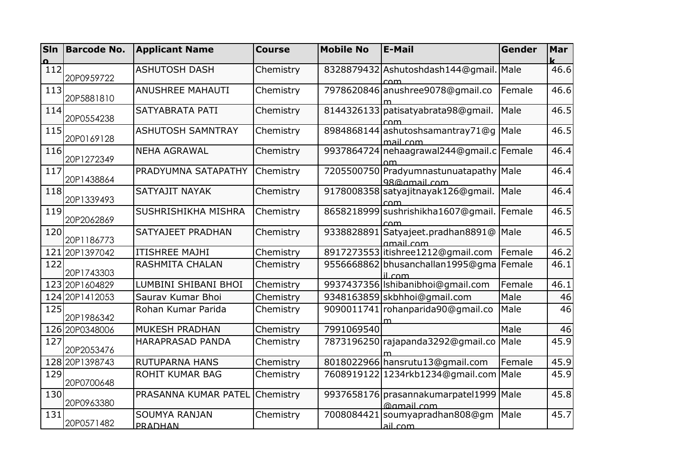| <b>SIn</b> | <b>Barcode No.</b> | <b>Applicant Name</b>    | <b>Course</b> | <b>Mobile No</b> | <b>E-Mail</b>                                               | Gender | Mar  |
|------------|--------------------|--------------------------|---------------|------------------|-------------------------------------------------------------|--------|------|
| 112        |                    |                          |               |                  |                                                             | Male   | 46.6 |
|            | 20P0959722         | <b>ASHUTOSH DASH</b>     | Chemistry     |                  | 8328879432 Ashutoshdash144@qmail.                           |        |      |
| 113        |                    | <b>ANUSHREE MAHAUTI</b>  | Chemistry     |                  | com<br>7978620846 anushree 9078@qmail.co                    | Female | 46.6 |
|            | 20P5881810         |                          |               |                  |                                                             |        |      |
| 114        |                    | SATYABRATA PATI          | Chemistry     |                  | 8144326133 patisatyabrata98@gmail.                          | Male   | 46.5 |
|            | 20P0554238         |                          |               |                  | com                                                         |        |      |
| 115        |                    | <b>ASHUTOSH SAMNTRAY</b> | Chemistry     |                  | 8984868144 ashutoshsamantray71@g                            | Male   | 46.5 |
|            | 20P0169128         |                          |               |                  | mail.com                                                    |        |      |
| 116        | 20P1272349         | <b>NEHA AGRAWAL</b>      | Chemistry     |                  | 9937864724 nehaagrawal 244@gmail.c Female                   |        | 46.4 |
| 117        |                    | PRADYUMNA SATAPATHY      | Chemistry     |                  | nm<br>7205500750 Pradyumnastunuatapathy Male                |        | 46.4 |
|            | 20P1438864         |                          |               |                  | 98@gmail.com                                                |        |      |
| 118        |                    | <b>SATYAJIT NAYAK</b>    | Chemistry     |                  | 9178008358 satyajitnayak126@gmail.                          | Male   | 46.4 |
|            | 20P1339493         |                          |               |                  | com                                                         |        |      |
| 119        |                    | SUSHRISHIKHA MISHRA      | Chemistry     |                  | 8658218999 sushrishikha1607@gmail.   Female                 |        | 46.5 |
|            | 20P2062869         |                          |               |                  | com                                                         |        |      |
| 120        | 20P1186773         | SATYAJEET PRADHAN        | Chemistry     |                  | 9338828891 Satyajeet.pradhan8891@                           | Male   | 46.5 |
|            | 121 20P1397042     | <b>ITISHREE MAJHI</b>    | Chemistry     |                  | amail com<br>8917273553 itishree1212@gmail.com              | Female | 46.2 |
| 122        |                    | RASHMITA CHALAN          | Chemistry     |                  | 9556668862 bhusanchallan1995@gma   Female                   |        | 46.1 |
|            | 20P1743303         |                          |               |                  | il com                                                      |        |      |
|            | 123 20P1604829     | LUMBINI SHIBANI BHOI     | Chemistry     |                  | 9937437356 Ishibanibhoi@gmail.com                           | Female | 46.1 |
|            | 124 20P1412053     | Saurav Kumar Bhoi        | Chemistry     |                  | 9348163859 skbhhoi@gmail.com                                | Male   | 46   |
| 125        |                    | Rohan Kumar Parida       | Chemistry     |                  | 9090011741 rohanparida90@gmail.co                           | Male   | 46   |
|            | 20P1986342         |                          |               |                  |                                                             |        |      |
|            | 126 20P0348006     | <b>MUKESH PRADHAN</b>    | Chemistry     | 7991069540       |                                                             | Male   | 46   |
| 127        |                    | <b>HARAPRASAD PANDA</b>  | Chemistry     |                  | 7873196250 rajapanda3292@gmail.co                           | Male   | 45.9 |
|            | 20P2053476         |                          |               |                  |                                                             |        |      |
|            | 128 20P1398743     | <b>RUTUPARNA HANS</b>    | Chemistry     |                  | 8018022966 hansrutu13@gmail.com                             | Female | 45.9 |
| 129        | 20P0700648         | <b>ROHIT KUMAR BAG</b>   | Chemistry     |                  | 7608919122 1234rkb1234@gmail.com Male                       |        | 45.9 |
|            |                    |                          |               |                  |                                                             |        | 45.8 |
| 130        | 20P0963380         | PRASANNA KUMAR PATEL     | Chemistry     |                  | 9937658176 prasannakumarpate 1999 Male<br><b>@gmail.com</b> |        |      |
| 131        |                    | <b>SOUMYA RANJAN</b>     | Chemistry     |                  | 7008084421 soumyapradhan808@gm                              | Male   | 45.7 |
|            | 20P0571482         | <b>PRADHAN</b>           |               |                  | ail.com                                                     |        |      |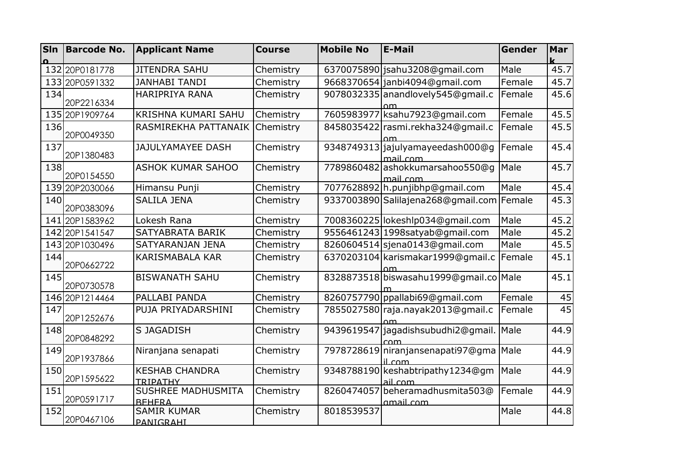| <b>SIn</b> | <b>Barcode No.</b> | <b>Applicant Name</b>                      | <b>Course</b> | <b>Mobile No</b> | <b>E-Mail</b>                                | Gender | Mar               |
|------------|--------------------|--------------------------------------------|---------------|------------------|----------------------------------------------|--------|-------------------|
| Ω          |                    |                                            |               |                  |                                              |        |                   |
|            | 132 20P0181778     | <b>JITENDRA SAHU</b>                       | Chemistry     |                  | 6370075890   jsahu3208@gmail.com             | Male   | 45.7              |
|            | 133 20P0591332     | <b>JANHABI TANDI</b>                       | Chemistry     |                  | 9668370654 janbi4094@gmail.com               | Female | 45.7              |
| 134        | 20P2216334         | HARIPRIYA RANA                             | Chemistry     |                  | 9078032335 anandlovely 545@gmail.c<br>ωm     | Female | 45.6              |
|            | 135 20P1909764     | KRISHNA KUMARI SAHU                        | Chemistry     |                  | 7605983977 ksahu7923@gmail.com               | Female | 45.5              |
| 136        | 20P0049350         | RASMIREKHA PATTANAIK                       | Chemistry     |                  | 8458035422 rasmi.rekha324@gmail.c            | Female | 45.5              |
| 137        | 20P1380483         | <b>JAJULYAMAYEE DASH</b>                   | Chemistry     |                  | 9348749313 jajulyamayeedash000@g<br>mail.com | Female | 45.4              |
| 138        | 20P0154550         | <b>ASHOK KUMAR SAHOO</b>                   | Chemistry     |                  | 7789860482 ashokkumarsahoo 550@g<br>mail.com | Male   | 45.7              |
|            | 139 20P2030066     | Himansu Punji                              | Chemistry     |                  | 7077628892 h.punjibhp@gmail.com              | Male   | 45.4              |
| 140        | 20P0383096         | <b>SALILA JENA</b>                         | Chemistry     |                  | 9337003890 Salilajena 268@gmail.com Female   |        | 45.3              |
|            | 141 20P1583962     | Lokesh Rana                                | Chemistry     |                  | 7008360225 lokeshlp034@gmail.com             | Male   | 45.2              |
|            | 142 20P1541547     | SATYABRATA BARIK                           | Chemistry     |                  | 9556461243 1998 satyab@qmail.com             | Male   | 45.2              |
|            | 143 20P1030496     | SATYARANJAN JENA                           | Chemistry     |                  | 8260604514 sjena0143@gmail.com               | Male   | 45.5              |
| 144        | 20P0662722         | <b>KARISMABALA KAR</b>                     | Chemistry     |                  | 6370203104 karismakar1999@gmail.c            | Female | 45.1              |
| 145        | 20P0730578         | <b>BISWANATH SAHU</b>                      | Chemistry     |                  | 8328873518 biswasahu1999@gmail.co Male       |        | $\overline{45.1}$ |
|            | 146 20P1214464     | PALLABI PANDA                              | Chemistry     |                  | 8260757790 ppallabi69@gmail.com              | Female | 45                |
| 147        | 20P1252676         | PUJA PRIYADARSHINI                         | Chemistry     |                  | 7855027580 raja.nayak2013@gmail.c<br>om      | Female | 45                |
| 148        | 20P0848292         | S JAGADISH                                 | Chemistry     |                  | 9439619547 jagadishsubudhi2@qmail.<br>com    | Male   | 44.9              |
| 149        | 20P1937866         | Niranjana senapati                         | Chemistry     |                  | 7978728619 niranjansenapati97@gma<br>il com  | Male   | 44.9              |
| 150        | 20P1595622         | <b>KESHAB CHANDRA</b><br><b>TRIPATHY</b>   | Chemistry     |                  | 9348788190 keshabtripathy1234@gm<br>ail com  | Male   | 44.9              |
| 151        | 20P0591717         | <b>SUSHREE MADHUSMITA</b><br><b>BEHERA</b> | Chemistry     |                  | 8260474057 beheramadhusmita503@<br>amail.com | Female | 44.9              |
| 152        | 20P0467106         | <b>SAMIR KUMAR</b><br>PANIGRAHI            | Chemistry     | 8018539537       |                                              | Male   | 44.8              |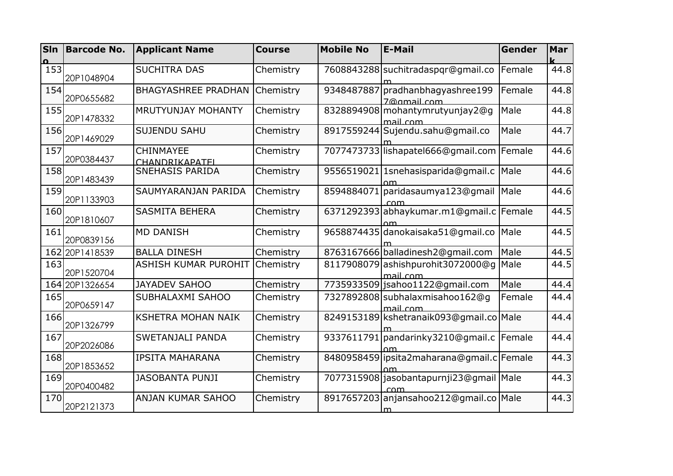| <b>SIn</b> | <b>Barcode No.</b> | <b>Applicant Name</b>              | <b>Course</b> | <b>Mobile No</b> | <b>E-Mail</b>                                    | Gender | Mar  |
|------------|--------------------|------------------------------------|---------------|------------------|--------------------------------------------------|--------|------|
|            |                    |                                    |               |                  |                                                  |        |      |
| 153        | 20P1048904         | <b>SUCHITRA DAS</b>                | Chemistry     |                  | 7608843288 suchitradaspgr@gmail.co               | Female | 44.8 |
| 154        | 20P0655682         | <b>BHAGYASHREE PRADHAN</b>         | Chemistry     |                  | 9348487887 pradhanbhagyashree 199<br>7@gmail.com | Female | 44.8 |
| 155        | 20P1478332         | MRUTYUNJAY MOHANTY                 | Chemistry     |                  | 8328894908 mohantymrutyunjay2@g<br>mail com      | Male   | 44.8 |
| 156        | 20P1469029         | <b>SUJENDU SAHU</b>                | Chemistry     |                  | 8917559244 Sujendu.sahu@gmail.co                 | Male   | 44.7 |
| 157        | 20P0384437         | <b>CHINMAYEE</b><br>CHANDRIKAPATEL | Chemistry     |                  | 7077473733 lishapatel 666@ gmail.com   Female    |        | 44.6 |
| 158        | 20P1483439         | SNEHASIS PARIDA                    | Chemistry     |                  | 9556519021 1snehasisparida@gmail.c<br>മന         | Male   | 44.6 |
| 159        | 20P1133903         | SAUMYARANJAN PARIDA                | Chemistry     |                  | 8594884071 paridasaumya123@qmail<br>com          | Male   | 44.6 |
| 160        | 20P1810607         | <b>SASMITA BEHERA</b>              | Chemistry     |                  | 6371292393 abhaykumar.m1@gmail.c Female          |        | 44.5 |
| 161        | 20P0839156         | <b>MD DANISH</b>                   | Chemistry     |                  | 9658874435 danokaisaka51@gmail.co                | Male   | 44.5 |
|            | 162 20P1418539     | <b>BALLA DINESH</b>                | Chemistry     |                  | 8763167666 balladinesh 2@qmail.com               | Male   | 44.5 |
| 163        | 20P1520704         | <b>ASHISH KUMAR PUROHIT</b>        | Chemistry     |                  | 8117908079 ashishpurohit 3072000@g<br>mail.com   | Male   | 44.5 |
|            | 164 20P1326654     | <b>JAYADEV SAHOO</b>               | Chemistry     |                  | 7735933509 jsahoo1122@gmail.com                  | Male   | 44.4 |
| 165        | 20P0659147         | SUBHALAXMI SAHOO                   | Chemistry     |                  | 7327892808 subhalaxmisahoo 162@g<br>mail com     | Female | 44.4 |
| 166        | 20P1326799         | <b>KSHETRA MOHAN NAIK</b>          | Chemistry     |                  | 8249153189 kshetranaik093@gmail.co Male          |        | 44.4 |
| 167        | 20P2026086         | SWETANJALI PANDA                   | Chemistry     |                  | 9337611791 pandarinky 3210@gmail.c   Female      |        | 44.4 |
| 168        | 20P1853652         | <b>IPSITA MAHARANA</b>             | Chemistry     |                  | 8480958459 ipsita2maharana@gmail.c Female        |        | 44.3 |
| 169        | 20P0400482         | <b>JASOBANTA PUNJI</b>             | Chemistry     |                  | 7077315908 jasobantapurnji 23@gmail Male         |        | 44.3 |
| 170        | 20P2121373         | ANJAN KUMAR SAHOO                  | Chemistry     |                  | 8917657203 anjansahoo 212@gmail.co Male          |        | 44.3 |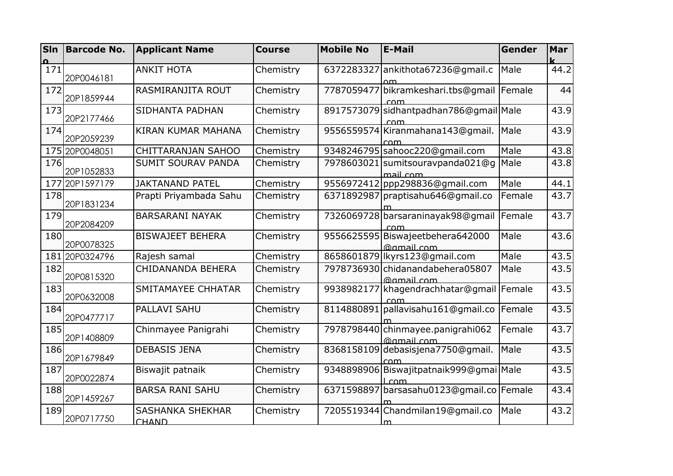| <b>SIn</b> | <b>Barcode No.</b> | <b>Applicant Name</b>     | <b>Course</b> | <b>Mobile No</b> | <b>E-Mail</b>                                 | Gender | Mar  |
|------------|--------------------|---------------------------|---------------|------------------|-----------------------------------------------|--------|------|
| $\Omega$   |                    |                           |               |                  |                                               |        |      |
| 171        |                    | <b>ANKIT HOTA</b>         | Chemistry     | 6372283327       | ankithota67236@gmail.c                        | Male   | 44.2 |
|            | 20P0046181         |                           |               |                  |                                               |        |      |
| 172        |                    | RASMIRANJITA ROUT         | Chemistry     | 7787059477       | bikramkeshari.tbs@gmail                       | Female | 44   |
|            | 20P1859944         |                           |               |                  | com                                           |        |      |
| 173        | 20P2177466         | SIDHANTA PADHAN           | Chemistry     |                  | 8917573079 sidhantpadhan786@gmail Male<br>com |        | 43.9 |
| 174        | 20P2059239         | <b>KIRAN KUMAR MAHANA</b> | Chemistry     |                  | 9556559574 Kiranmahana143@gmail.              | Male   | 43.9 |
|            | 175 20P0048051     | CHITTARANJAN SAHOO        | Chemistry     |                  | com<br>9348246795 sahooc220@gmail.com         | Male   | 43.8 |
| 176        |                    | <b>SUMIT SOURAV PANDA</b> | Chemistry     |                  | 7978603021 sumitsouravpanda021@g              | Male   | 43.8 |
|            | 20P1052833         |                           |               |                  |                                               |        |      |
|            |                    | <b>JAKTANAND PATEL</b>    | Chemistry     |                  | mail.com<br>9556972412 ppp298836@gmail.com    | Male   | 44.1 |
|            | 177 20P1597179     |                           |               |                  |                                               |        |      |
| 178        | 20P1831234         | Prapti Priyambada Sahu    | Chemistry     |                  | 6371892987 praptisahu646@gmail.co             | Female | 43.7 |
| 179        |                    | <b>BARSARANI NAYAK</b>    | Chemistry     |                  | 7326069728 barsaraninayak98@gmail             | Female | 43.7 |
|            | 20P2084209         |                           |               |                  | $\mathsf{com}$                                |        |      |
| 180        |                    | <b>BISWAJEET BEHERA</b>   | Chemistry     |                  | 9556625595 Biswajeetbehera642000              | Male   | 43.6 |
|            | 20P0078325         |                           |               |                  | @gmail.com                                    |        |      |
|            | 181 20P0324796     | Rajesh samal              | Chemistry     |                  | 8658601879   Ikyrs123@gmail.com               | Male   | 43.5 |
| 182        |                    | CHIDANANDA BEHERA         | Chemistry     |                  | 7978736930 chidanandabehera05807              | Male   | 43.5 |
|            | 20P0815320         |                           |               |                  | @gmail.com                                    |        |      |
| 183        |                    | SMITAMAYEE CHHATAR        | Chemistry     | 9938982177       | khagendrachhatar@gmail Female                 |        | 43.5 |
|            | 20P0632008         |                           |               |                  | com                                           |        |      |
| 184        |                    | PALLAVI SAHU              | Chemistry     |                  | 8114880891 pallavisahu161@gmail.co            | Female | 43.5 |
|            | 20P0477717         |                           |               |                  |                                               |        |      |
| 185        |                    | Chinmayee Panigrahi       | Chemistry     |                  | 7978798440 chinmayee.panigrahi062             | Female | 43.7 |
|            | 20P1408809         |                           |               |                  | @gmail.com                                    |        |      |
| 186        |                    | <b>DEBASIS JENA</b>       | Chemistry     |                  | 8368158109 debasisjena7750@gmail.             | Male   | 43.5 |
|            | 20P1679849         |                           |               |                  | com                                           |        |      |
| 187        |                    | Biswajit patnaik          | Chemistry     |                  | 9348898906 Biswajitpatnaik999@gmai Male       |        | 43.5 |
|            | 20P0022874         |                           |               |                  | $\mathsf{L}\mathsf{com}$                      |        |      |
| 188        |                    | <b>BARSA RANI SAHU</b>    | Chemistry     |                  | 6371598897 barsasahu0123@gmail.co Female      |        | 43.4 |
|            | 20P1459267         |                           |               |                  |                                               |        |      |
| 189        |                    | <b>SASHANKA SHEKHAR</b>   | Chemistry     |                  | 7205519344 Chandmilan19@gmail.co              | Male   | 43.2 |
|            | 20P0717750         | <b>CHAND</b>              |               |                  |                                               |        |      |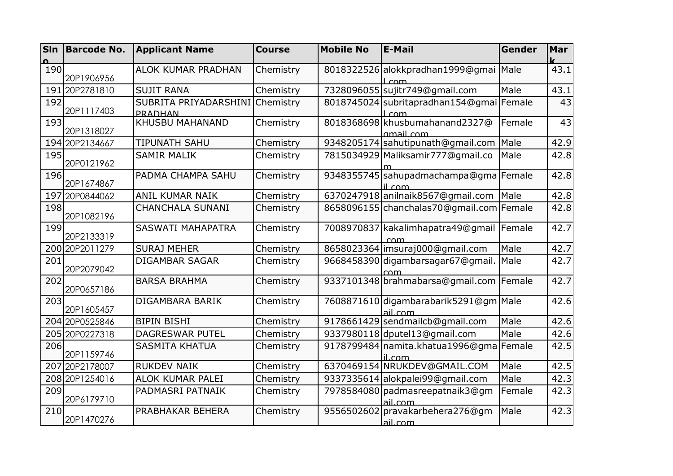| <b>SIn</b> | <b>Barcode No.</b> | <b>Applicant Name</b>                             | <b>Course</b> | <b>Mobile No</b> | <b>E-Mail</b>                                           | Gender | Mar  |
|------------|--------------------|---------------------------------------------------|---------------|------------------|---------------------------------------------------------|--------|------|
| $\Omega$   |                    |                                                   |               |                  |                                                         |        |      |
| 190        | 20P1906956         | ALOK KUMAR PRADHAN                                | Chemistry     |                  | 8018322526 alokkpradhan1999@gmai<br>L com               | Male   | 43.1 |
|            | 191 20P2781810     | <b>SUJIT RANA</b>                                 | Chemistry     |                  | 7328096055 sujitr749@gmail.com                          | Male   | 43.1 |
| 192        | 20P1117403         | SUBRITA PRIYADARSHINI Chemistry<br><b>PRADHAN</b> |               |                  | 8018745024 subritapradhan154@gmai Female<br>$\sqrt{cm}$ |        | 43   |
| 193        | 20P1318027         | <b>KHUSBU MAHANAND</b>                            | Chemistry     |                  | 8018368698 khusbumahanand 2327@<br>amail.com            | Female | 43   |
|            | 194 20P2134667     | <b>TIPUNATH SAHU</b>                              | Chemistry     |                  | 9348205174 sahutipunath@gmail.com                       | Male   | 42.9 |
| 195        | 20P0121962         | <b>SAMIR MALIK</b>                                | Chemistry     |                  | 7815034929 Maliksamir777@gmail.co                       | Male   | 42.8 |
| 196        | 20P1674867         | PADMA CHAMPA SAHU                                 | Chemistry     |                  | 9348355745 sahupadmachampa@gma Female<br><u>il com</u>  |        | 42.8 |
|            | 197 20P0844062     | ANIL KUMAR NAIK                                   | Chemistry     |                  | 6370247918 anilnaik8567@gmail.com                       | Male   | 42.8 |
| 198        | 20P1082196         | <b>CHANCHALA SUNANI</b>                           | Chemistry     |                  | 8658096155 chanchalas70@gmail.com Female                |        | 42.8 |
| 199        | 20P2133319         | <b>SASWATI MAHAPATRA</b>                          | Chemistry     |                  | 7008970837 kakalimhapatra49@gmail Female<br>com         |        | 42.7 |
|            | 200 20P2011279     | <b>SURAJ MEHER</b>                                | Chemistry     |                  | 8658023364 imsuraj000@gmail.com                         | Male   | 42.7 |
| 201        | 20P2079042         | <b>DIGAMBAR SAGAR</b>                             | Chemistry     |                  | 9668458390 digambarsagar67@gmail.                       | Male   | 42.7 |
| 202        | 20P0657186         | <b>BARSA BRAHMA</b>                               | Chemistry     |                  | 9337101348 brahmabarsa@gmail.com   Female               |        | 42.7 |
| 203        | 20P1605457         | DIGAMBARA BARIK                                   | Chemistry     |                  | 7608871610 digambarabarik 5291@gm Male<br>ail com       |        | 42.6 |
|            | 204 20P0525846     | <b>BIPIN BISHI</b>                                | Chemistry     |                  | 9178661429 sendmailcb@gmail.com                         | Male   | 42.6 |
|            | 205 20P0227318     | <b>DAGRESWAR PUTEL</b>                            | Chemistry     |                  | 9337980118 dputel13@gmail.com                           | Male   | 42.6 |
| 206        | 20P1159746         | <b>SASMITA KHATUA</b>                             | Chemistry     |                  | 9178799484 namita.khatua 1996@gma   Female<br>il com    |        | 42.5 |
|            | 207 20P2178007     | <b>RUKDEV NAIK</b>                                | Chemistry     |                  | 6370469154 NRUKDEV@GMAIL.COM                            | Male   | 42.5 |
|            | 208 20P1254016     | <b>ALOK KUMAR PALEI</b>                           | Chemistry     |                  | 9337335614 alokpalei99@gmail.com                        | Male   | 42.3 |
| 209        | 20P6179710         | PADMASRI PATNAIK                                  | Chemistry     |                  | 7978584080 padmasreepatnaik3@gm<br>ail.com              | Female | 42.3 |
| 210        | 20P1470276         | PRABHAKAR BEHERA                                  | Chemistry     |                  | 9556502602 pravakarbehera276@gm<br>ail.com              | Male   | 42.3 |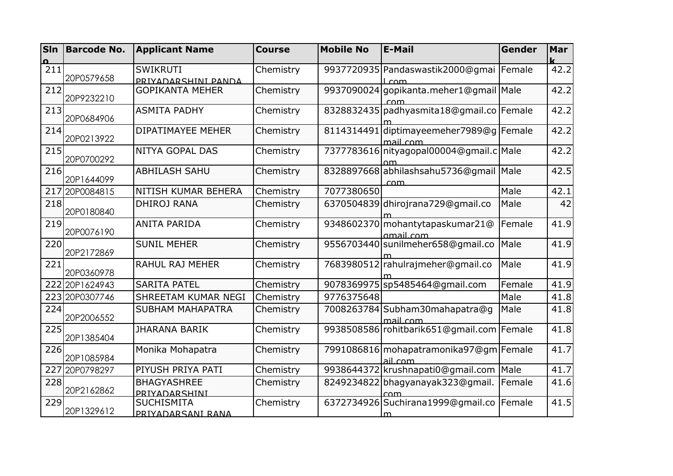| <b>SIn</b> | <b>Barcode No.</b> | <b>Applicant Name</b>    | <b>Course</b> | <b>Mobile No</b> | <b>E-Mail</b>                              | Gender | <b>Mar</b> |
|------------|--------------------|--------------------------|---------------|------------------|--------------------------------------------|--------|------------|
| ŋ          |                    |                          |               |                  |                                            |        |            |
| 211        |                    | <b>SWIKRUTI</b>          | Chemistry     |                  | 9937720935 Pandaswastik 2000@gmai   Female |        | 42.2       |
|            | 20P0579658         | PRIYADARSHINI PANDA      |               |                  | $\Gamma$                                   |        |            |
| 212        |                    | <b>GOPIKANTA MEHER</b>   | Chemistry     |                  | 9937090024 gopikanta.meher1@gmail Male     |        | 42.2       |
|            | 20P9232210         |                          |               |                  |                                            |        |            |
| 213        | 20P0684906         | <b>ASMITA PADHY</b>      | Chemistry     |                  | 8328832435 padhyasmita 18@gmail.co Female  |        | 42.2       |
| 214        |                    | <b>DIPATIMAYEE MEHER</b> | Chemistry     |                  | 8114314491 diptimayeemeher7989@q Female    |        | 42.2       |
|            | 20P0213922         |                          |               |                  | mail com                                   |        |            |
| 215        |                    | <b>NITYA GOPAL DAS</b>   | Chemistry     |                  | 7377783616 nityagopal00004@gmail.c Male    |        | 42.2       |
|            | 20P0700292         |                          |               |                  |                                            |        |            |
| 216        |                    | <b>ABHILASH SAHU</b>     | Chemistry     |                  | 8328897668 abhilashsahu 5736@gmail Male    |        | 42.5       |
|            | 20P1644099         |                          |               |                  | com                                        |        |            |
|            | 217 20P0084815     | NITISH KUMAR BEHERA      | Chemistry     | 7077380650       |                                            | Male   | 42.1       |
| 218        |                    | <b>DHIROJ RANA</b>       | Chemistry     |                  | 6370504839dhirojrana729@gmail.co           | Male   | 42         |
|            | 20P0180840         |                          |               |                  |                                            |        |            |
| 219        |                    | <b>ANITA PARIDA</b>      | Chemistry     |                  | 9348602370 mohantytapaskumar21@            | Female | 41.9       |
|            | 20P0076190         |                          |               |                  | amail com                                  |        |            |
| 220        |                    | <b>SUNIL MEHER</b>       | Chemistry     |                  | 9556703440 sunilmeher658@gmail.co          | Male   | 41.9       |
|            | 20P2172869         |                          |               |                  |                                            |        |            |
| 221        |                    | <b>RAHUL RAJ MEHER</b>   | Chemistry     |                  | 7683980512 rahulrajmeher@gmail.co          | Male   | 41.9       |
|            | 20P0360978         |                          |               |                  |                                            |        |            |
|            | 222 20P1624943     | <b>SARITA PATEL</b>      | Chemistry     |                  | 9078369975 sp5485464@gmail.com             | Female | 41.9       |
|            | 223 20P0307746     | SHREETAM KUMAR NEGI      | Chemistry     | 9776375648       |                                            | Male   | 41.8       |
| 224        |                    | <b>SUBHAM MAHAPATRA</b>  | Chemistry     |                  | 7008263784 Subham30mahapatra@g             | Male   | 41.8       |
|            | 20P2006552         |                          |               |                  | mail com                                   |        |            |
| 225        |                    | JHARANA BARIK            | Chemistry     |                  | 9938508586 rohitbarik651@gmail.com Female  |        | 41.8       |
|            | 20P1385404         |                          |               |                  |                                            |        |            |
| 226        |                    | Monika Mohapatra         | Chemistry     |                  | 7991086816 mohapatramonika97@gm Female     |        | 41.7       |
|            | 20P1085984         |                          |               |                  | ail com                                    |        |            |
|            | 227 20P0798297     | PIYUSH PRIYA PATI        | Chemistry     |                  | 9938644372 krushnapati0@gmail.com Male     |        | 41.7       |
| 228        |                    | <b>BHAGYASHREE</b>       | Chemistry     |                  | 8249234822 bhaqyanayak323@gmail.           | Female | 41.6       |
|            | 20P2162862         | PRIYADARSHINI            |               |                  | rnm                                        |        |            |
| 229        |                    | <b>SUCHISMITA</b>        | Chemistry     |                  | 6372734926 Suchirana1999@gmail.co Female   |        | 41.5       |
|            | 20P1329612         | PRIYADARSANI RANA        |               |                  |                                            |        |            |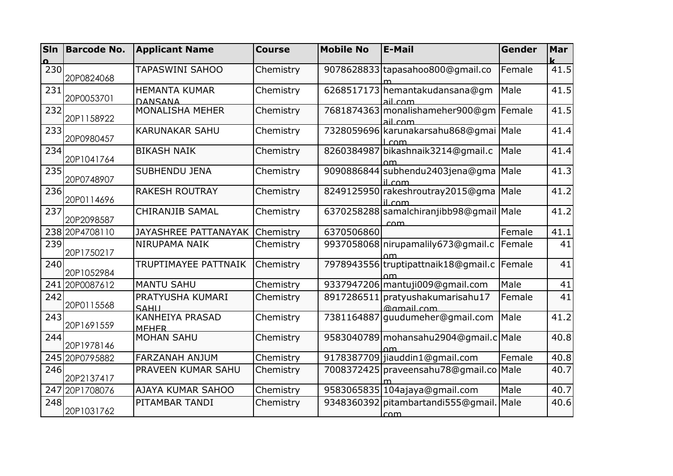| <b>SIn</b> | <b>Barcode No.</b> | <b>Applicant Name</b>                  | <b>Course</b> | <b>Mobile No</b> | <b>E-Mail</b>                                         | Gender      | Mar  |
|------------|--------------------|----------------------------------------|---------------|------------------|-------------------------------------------------------|-------------|------|
| C          |                    |                                        |               |                  |                                                       |             | lz.  |
| 230        | 20P0824068         | TAPASWINI SAHOO                        | Chemistry     |                  | 9078628833 tapasahoo 800@gmail.co                     | Female      | 41.5 |
| 231        | 20P0053701         | <b>HEMANTA KUMAR</b><br><b>DANSANA</b> | Chemistry     |                  | 6268517173 hemantakudansana@gm<br>ail com             | Male        | 41.5 |
| 232        | 20P1158922         | <b>MONALISHA MEHER</b>                 | Chemistry     |                  | 7681874363 monalishameher900@gm   Female<br>ail.com   |             | 41.5 |
| 233        | 20P0980457         | <b>KARUNAKAR SAHU</b>                  | Chemistry     |                  | 7328059696 karunakarsahu 868@gmai Male<br>com         |             | 41.4 |
| 234        | 20P1041764         | <b>BIKASH NAIK</b>                     | Chemistry     |                  | 8260384987 bikashnaik3214@gmail.c                     | Male        | 41.4 |
| 235        | 20P0748907         | <b>SUBHENDU JENA</b>                   | Chemistry     |                  | 9090886844 subhendu2403jena@gma Male<br>il com        |             | 41.3 |
| 236        | 20P0114696         | <b>RAKESH ROUTRAY</b>                  | Chemistry     |                  | 8249125950 rakeshroutray 2015@gma<br>il com           | Male        | 41.2 |
| 237        | 20P2098587         | CHIRANJIB SAMAL                        | Chemistry     |                  | 6370258288 samalchiranjibb98@gmail Male<br>com        |             | 41.2 |
|            | 238 20P4708110     | JAYASHREE PATTANAYAK                   | Chemistry     | 6370506860       |                                                       | Female      | 41.1 |
| 239        | 20P1750217         | NIRUPAMA NAIK                          | Chemistry     |                  | 9937058068 nirupamalily 673@gmail.c                   | Female      | 41   |
| 240        | 20P1052984         | TRUPTIMAYEE PATTNAIK                   | Chemistry     |                  | 7978943556 truptipattnaik18@gmail.c                   | Female      | 41   |
|            | 241 20P0087612     | <b>MANTU SAHU</b>                      | Chemistry     |                  | 9337947206 mantuji009@gmail.com                       | Male        | 41   |
| 242        | 20P0115568         | PRATYUSHA KUMARI<br><b>SAHII</b>       | Chemistry     |                  | 8917286511 pratyushakumarisahu17<br><b>@gmail.com</b> | Female      | 41   |
| 243        | 20P1691559         | <b>KANHEIYA PRASAD</b><br><b>MFHFR</b> | Chemistry     | 7381164887       | ' guudumeher@gmail.com                                | <b>Male</b> | 41.2 |
| 244        | 20P1978146         | <b>MOHAN SAHU</b>                      | Chemistry     |                  | 9583040789 mohansahu 2904@gmail.c Male                |             | 40.8 |
|            | 245 20P0795882     | <b>FARZANAH ANJUM</b>                  | Chemistry     |                  | 9178387709 jiauddin1@gmail.com                        | Female      | 40.8 |
| 246        | 20P2137417         | PRAVEEN KUMAR SAHU                     | Chemistry     |                  | 7008372425 praveensahu78@gmail.co                     | Male        | 40.7 |
|            | 247 20P1708076     | AJAYA KUMAR SAHOO                      | Chemistry     |                  | 9583065835 104ajaya@gmail.com                         | Male        | 40.7 |
| 248        | 20P1031762         | PITAMBAR TANDI                         | Chemistry     |                  | 9348360392 pitambartandi555@gmail.<br>com             | Male        | 40.6 |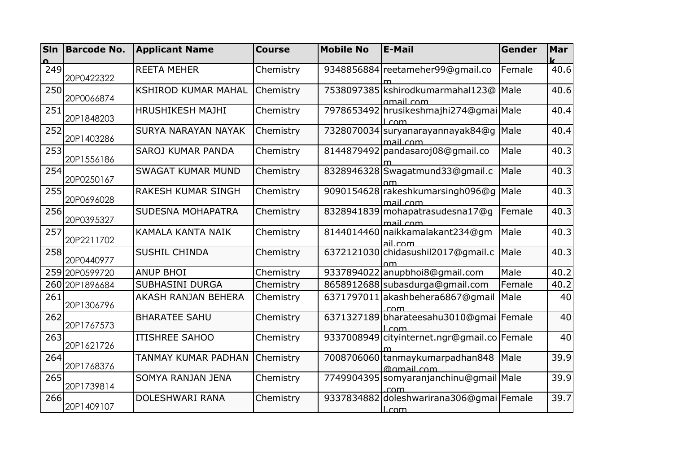| <b>SIn</b> | <b>Barcode No.</b> | <b>Applicant Name</b>      | <b>Course</b> | <b>Mobile No</b> | <b>E-Mail</b>                                            | Gender | Mar  |
|------------|--------------------|----------------------------|---------------|------------------|----------------------------------------------------------|--------|------|
|            |                    |                            |               |                  |                                                          |        |      |
| 249        | 20P0422322         | <b>REETA MEHER</b>         | Chemistry     |                  | 9348856884 reetameher99@gmail.co                         | Female | 40.6 |
| 250        | 20P0066874         | <b>KSHIROD KUMAR MAHAL</b> | Chemistry     |                  | 7538097385 kshirodkumarmahal123@<br>amail com            | Male   | 40.6 |
| 251        | 20P1848203         | HRUSHIKESH MAJHI           | Chemistry     |                  | 7978653492 hrusikeshmajhi274@gmai Male<br>com            |        | 40.4 |
| 252        | 20P1403286         | <b>SURYA NARAYAN NAYAK</b> | Chemistry     |                  | 7328070034 suryanarayannayak84@g<br>mail com             | Male   | 40.4 |
| 253        | 20P1556186         | <b>SAROJ KUMAR PANDA</b>   | Chemistry     |                  | 8144879492 pandasaroj08@gmail.co                         | Male   | 40.3 |
| 254        | 20P0250167         | <b>SWAGAT KUMAR MUND</b>   | Chemistry     |                  | 8328946328 Swagatmund 33@gmail.c                         | Male   | 40.3 |
| 255        | 20P0696028         | RAKESH KUMAR SINGH         | Chemistry     |                  | 9090154628 rakeshkumarsingh096@g<br>mail.com             | Male   | 40.3 |
| 256        | 20P0395327         | <b>SUDESNA MOHAPATRA</b>   | Chemistry     |                  | 8328941839 mohapatrasudesna17@g<br>mail.com              | Female | 40.3 |
| 257        | 20P2211702         | KAMALA KANTA NAIK          | Chemistry     |                  | 8144014460 naikkamalakant 234@gm<br>ail com              | Male   | 40.3 |
| 258        | 20P0440977         | <b>SUSHIL CHINDA</b>       | Chemistry     |                  | 6372121030 chidasushil2017@gmail.c<br>nm                 | Male   | 40.3 |
|            | 259 20P0599720     | <b>ANUP BHOI</b>           | Chemistry     | 9337894022       | anupbhoi8@gmail.com                                      | Male   | 40.2 |
|            | 260 20P1896684     | <b>SUBHASINI DURGA</b>     | Chemistry     |                  | 8658912688 subasdurga@gmail.com                          | Female | 40.2 |
| 261        | 20P1306796         | AKASH RANJAN BEHERA        | Chemistry     |                  | 6371797011 akashbehera 6867@gmail                        | Male   | 40   |
| 262        | 20P1767573         | <b>BHARATEE SAHU</b>       | Chemistry     |                  | 6371327189 bharateesahu3010@gmai Female<br>$\sim$        |        | 40   |
| 263        | 20P1621726         | <b>ITISHREE SAHOO</b>      | Chemistry     |                  | 9337008949 cityinternet.ngr@gmail.co Female              |        | 40   |
| 264        | 20P1768376         | TANMAY KUMAR PADHAN        | Chemistry     |                  | 7008706060 tanmay kumar padhan 848<br>@gmail.com         | Male   | 39.9 |
| 265        | 20P1739814         | SOMYA RANJAN JENA          | Chemistry     |                  | 7749904395 somyaranjanchinu@gmail Male<br>com            |        | 39.9 |
| 266        | 20P1409107         | DOLESHWARI RANA            | Chemistry     |                  | 9337834882 doleshwarirana306@gmai Female<br><u>l com</u> |        | 39.7 |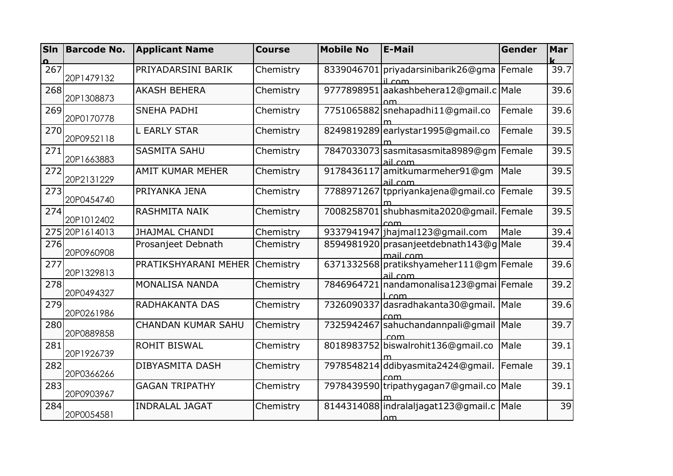| <b>SIn</b> | <b>Barcode No.</b> | <b>Applicant Name</b>  | <b>Course</b> | <b>Mobile No</b> | <b>E-Mail</b>                                          | Gender | Mar  |
|------------|--------------------|------------------------|---------------|------------------|--------------------------------------------------------|--------|------|
|            |                    |                        |               |                  |                                                        |        |      |
| 267        | 20P1479132         | PRIYADARSINI BARIK     | Chemistry     |                  | 8339046701 priyadarsinibarik 26@gma<br>il com          | Female | 39.7 |
| 268        | 20P1308873         | <b>AKASH BEHERA</b>    | Chemistry     | 9777898951       | aakashbehera12@gmail.c Male                            |        | 39.6 |
| 269        | 20P0170778         | <b>SNEHA PADHI</b>     | Chemistry     |                  | 7751065882 snehapadhi11@gmail.co                       | Female | 39.6 |
| 270        | 20P0952118         | <b>L EARLY STAR</b>    | Chemistry     |                  | 8249819289 earlystar1995@gmail.co                      | Female | 39.5 |
| 271        | 20P1663883         | <b>SASMITA SAHU</b>    | Chemistry     |                  | 7847033073 sasmitasasmita8989@gm<br>ail.com            | Female | 39.5 |
| 272        | 20P2131229         | AMIT KUMAR MEHER       | Chemistry     | 9178436117       | amitkumarmeher91@gm<br>ail com                         | Male   | 39.5 |
| 273        | 20P0454740         | PRIYANKA JENA          | Chemistry     | 7788971267       | tppriyankajena@gmail.co                                | Female | 39.5 |
| 274        | 20P1012402         | RASHMITA NAIK          | Chemistry     | 7008258701       | shubhasmita2020@gmail. Female                          |        | 39.5 |
|            | 275 20P1614013     | <b>JHAJMAL CHANDI</b>  | Chemistry     |                  | 9337941947 jhajmal123@gmail.com                        | Male   | 39.4 |
| 276        | 20P0960908         | Prosanjeet Debnath     | Chemistry     |                  | 8594981920 prasanjeet debnath 143@q Male<br>mail com   |        | 39.4 |
| 277        | 20P1329813         | PRATIKSHYARANI MEHER   | Chemistry     |                  | 6371332568 pratikshyameher111@gm Female<br>ail.com     |        | 39.6 |
| 278        | 20P0494327         | <b>MONALISA NANDA</b>  | Chemistry     |                  | 7846964721 nandamonalisa123@gmai Female<br>com         |        | 39.2 |
| 279        | 20P0261986         | <b>RADHAKANTA DAS</b>  | Chemistry     |                  | 7326090337 dasradhakanta30@gmail. Male<br>com          |        | 39.6 |
| 280        | 20P0889858         | CHANDAN KUMAR SAHU     | Chemistry     |                  | 7325942467 sahuchandannpali@gmail<br>com               | Male   | 39.7 |
| 281        | 20P1926739         | <b>ROHIT BISWAL</b>    | Chemistry     |                  | 8018983752 biswalrohit136@gmail.co                     | Male   | 39.1 |
| 282        | 20P0366266         | <b>DIBYASMITA DASH</b> | Chemistry     |                  | 7978548214 ddibyasmita2424@gmail.<br>com               | Female | 39.1 |
| 283        | 20P0903967         | <b>GAGAN TRIPATHY</b>  | Chemistry     |                  | 7978439590 tripathygagan7@gmail.co Male                |        | 39.1 |
| 284        | 20P0054581         | <b>INDRALAL JAGAT</b>  | Chemistry     |                  | 8144314088 indralaljagat 123@gmail.c Male<br><u>om</u> |        | 39   |
|            |                    |                        |               |                  |                                                        |        |      |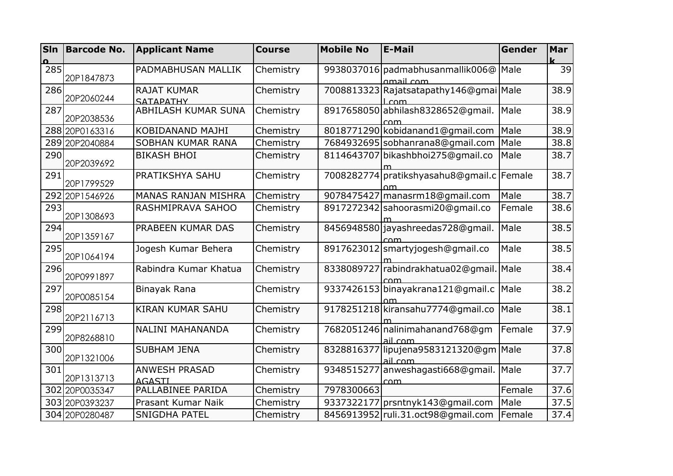| <b>SIn</b> | <b>Barcode No.</b> | <b>Applicant Name</b>              | <b>Course</b> | <b>Mobile No</b> | <b>E-Mail</b>                               | Gender | Mar  |
|------------|--------------------|------------------------------------|---------------|------------------|---------------------------------------------|--------|------|
|            |                    |                                    |               |                  |                                             |        |      |
| 285        |                    | PADMABHUSAN MALLIK                 | Chemistry     |                  | 9938037016   padmabhusan mallik 006@        | Male   | 39   |
|            | 20P1847873         |                                    |               |                  | amail com                                   |        |      |
| 286        |                    | <b>RAJAT KUMAR</b>                 | Chemistry     |                  | 7008813323 Rajatsatapathy146@gmai Male      |        | 38.9 |
|            | 20P2060244         | <b>SATAPATHY</b>                   |               |                  | l com                                       |        |      |
| 287        | 20P2038536         | <b>ABHILASH KUMAR SUNA</b>         | Chemistry     |                  | 8917658050 abhilash8328652@gmail.<br>rnm    | Male   | 38.9 |
|            | 288 20P0163316     | KOBIDANAND MAJHI                   | Chemistry     |                  | 8018771290 kobidanand1@qmail.com            | Male   | 38.9 |
|            | 289 20P2040884     | <b>SOBHAN KUMAR RANA</b>           | Chemistry     |                  | 7684932695 sobhanrana8@gmail.com            | Male   | 38.8 |
| 290        |                    | <b>BIKASH BHOI</b>                 | Chemistry     |                  | 8114643707 bikashbhoi275@qmail.co           | Male   | 38.7 |
|            | 20P2039692         |                                    |               |                  |                                             |        |      |
| 291        |                    | PRATIKSHYA SAHU                    | Chemistry     |                  | 7008282774 pratikshyasahu8@gmail.c   Female |        | 38.7 |
|            | 20P1799529         |                                    |               |                  |                                             |        |      |
|            | 292 20P1546926     | <b>MANAS RANJAN MISHRA</b>         | Chemistry     | 9078475427       | manasrm18@gmail.com                         | Male   | 38.7 |
| 293        |                    | RASHMIPRAVA SAHOO                  | Chemistry     |                  | 8917272342 sahoorasmi20@gmail.co            | Female | 38.6 |
|            | 20P1308693         |                                    |               |                  |                                             |        |      |
| 294        | 20P1359167         | PRABEEN KUMAR DAS                  | Chemistry     |                  | 8456948580 jayashreedas728@gmail.           | Male   | 38.5 |
|            |                    |                                    |               |                  | com                                         |        |      |
| 295        | 20P1064194         | Jogesh Kumar Behera                | Chemistry     |                  | 8917623012 smartyjogesh@gmail.co            | Male   | 38.5 |
| 296        |                    | Rabindra Kumar Khatua              | Chemistry     | 8338089727       | lrabindrakhatua02@gmail. Male               |        | 38.4 |
|            | 20P0991897         |                                    |               |                  |                                             |        |      |
| 297        |                    | Binayak Rana                       | Chemistry     |                  | 9337426153 binayakrana121@gmail.c           | Male   | 38.2 |
|            | 20P0085154         |                                    |               |                  |                                             |        |      |
| 298        |                    | <b>KIRAN KUMAR SAHU</b>            | Chemistry     |                  | 9178251218 kiransahu7774@gmail.co           | Male   | 38.1 |
|            | 20P2116713         |                                    |               |                  |                                             |        |      |
| 299        |                    | NALINI MAHANANDA                   | Chemistry     |                  | 7682051246 nalinimahanand 768@gm            | Female | 37.9 |
|            | 20P8268810         |                                    |               |                  | ail_com                                     |        |      |
| 300        | 20P1321006         | <b>SUBHAM JENA</b>                 | Chemistry     | 8328816377       | lipujena 9583121320@gm   Male               |        | 37.8 |
|            |                    |                                    |               |                  | ail com                                     |        | 37.7 |
| 301        | 20P1313713         | <b>ANWESH PRASAD</b>               | Chemistry     | 9348515277       | anweshagasti668@gmail.   Male               |        |      |
|            | 302 20P0035347     | <b>AGASTI</b><br>PALLABINEE PARIDA | Chemistry     | 7978300663       | com                                         | Female | 37.6 |
|            |                    |                                    |               |                  |                                             | Male   | 37.5 |
|            | 303 20P0393237     | Prasant Kumar Naik                 | Chemistry     | 9337322177       | prsntnyk143@gmail.com                       |        |      |
|            | 304 20P0280487     | <b>SNIGDHA PATEL</b>               | Chemistry     |                  | 8456913952 ruli.31.oct98@gmail.com          | Female | 37.4 |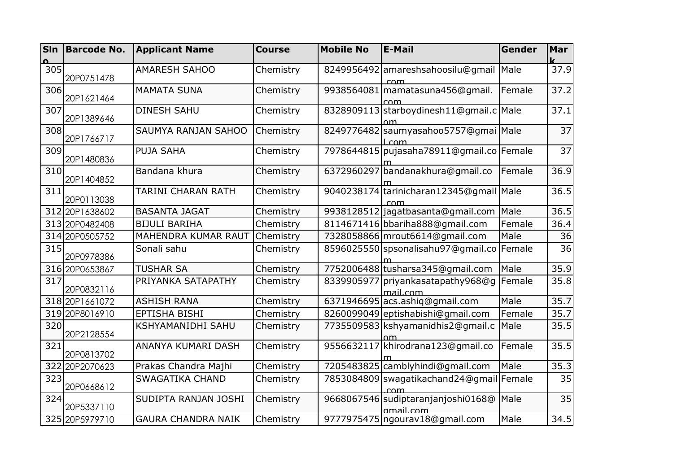| <b>SIn</b> | <b>Barcode No.</b> | <b>Applicant Name</b>      | <b>Course</b> | <b>Mobile No</b> | <b>E-Mail</b>                                       | Gender | Mar               |
|------------|--------------------|----------------------------|---------------|------------------|-----------------------------------------------------|--------|-------------------|
| 305        |                    | <b>AMARESH SAHOO</b>       | Chemistry     |                  | 8249956492 amareshsahoosilu@gmail                   | Male   | 37.9              |
|            | 20P0751478         |                            |               |                  | com                                                 |        |                   |
| 306        |                    | <b>MAMATA SUNA</b>         | Chemistry     |                  | 9938564081 mamatasuna456@gmail.                     | Female | 37.2              |
|            | 20P1621464         |                            |               |                  |                                                     |        |                   |
| 307        | 20P1389646         | <b>DINESH SAHU</b>         | Chemistry     |                  | 8328909113 starboydinesh11@gmail.c Male             |        | 37.1              |
| 308        | 20P1766717         | SAUMYA RANJAN SAHOO        | Chemistry     |                  | 8249776482 saumyasahoo 5757@gmai Male               |        | $\overline{37}$   |
| 309        |                    | <b>PUJA SAHA</b>           | Chemistry     |                  | $\sim$<br>7978644815 pujasaha 78911@gmail.co Female |        | 37                |
|            | 20P1480836         |                            |               |                  |                                                     |        |                   |
| 310        |                    | Bandana khura              | Chemistry     |                  | 6372960297 bandanakhura@gmail.co                    | Female | 36.9              |
|            | 20P1404852         |                            |               |                  |                                                     |        |                   |
| 311        |                    | TARINI CHARAN RATH         | Chemistry     |                  | 9040238174 tarinicharan12345@gmail Male             |        | $\overline{36.5}$ |
|            | 20P0113038         |                            |               |                  |                                                     |        |                   |
|            | 312 20P1638602     | <b>BASANTA JAGAT</b>       | Chemistry     |                  | 9938128512 jagatbasanta@gmail.com                   | Male   | 36.5              |
|            | 313 20P0482408     | <b>BIJULI BARIHA</b>       | Chemistry     |                  | 8114671416 bbariha888@gmail.com                     | Female | 36.4              |
|            | 314 20P0505752     | <b>MAHENDRA KUMAR RAUT</b> | Chemistry     |                  | 7328058866 mrout 6614@gmail.com                     | Male   | 36                |
| 315        |                    | Sonali sahu                | Chemistry     |                  | 8596025550 spsonalisahu97@gmail.co                  | Female | 36                |
|            | 20P0978386         |                            |               |                  |                                                     |        |                   |
|            | 316 20P0653867     | <b>TUSHAR SA</b>           | Chemistry     |                  | 7752006488 tusharsa 345@gmail.com                   | Male   | 35.9              |
| 317        |                    | PRIYANKA SATAPATHY         | Chemistry     |                  | 8339905977 priyankasatapathy 968@q                  | Female | 35.8              |
|            | 20P0832116         |                            |               |                  | mail com                                            |        |                   |
|            | 318 20P1661072     | <b>ASHISH RANA</b>         | Chemistry     |                  | 6371946695 acs.ashiq@gmail.com                      | Male   | 35.7              |
|            | 319 20P8016910     | <b>EPTISHA BISHI</b>       | Chemistry     |                  | 8260099049 eptishabishi@gmail.com                   | Female | 35.7              |
| 320        | 20P2128554         | KSHYAMANIDHI SAHU          | Chemistry     |                  | 7735509583 kshyamanidhis 2@qmail.c                  | Male   | 35.5              |
|            |                    |                            |               |                  |                                                     |        |                   |
| 321        | 20P0813702         | ANANYA KUMARI DASH         | Chemistry     | 9556632117       | khirodrana123@gmail.co                              | Female | 35.5              |
|            | 322 20P2070623     | Prakas Chandra Majhi       | Chemistry     |                  | 7205483825 cambly hindi@gmail.com                   | Male   | 35.3              |
| 323        |                    | <b>SWAGATIKA CHAND</b>     | Chemistry     |                  | 7853084809 swagatikachand 24@gmail Female           |        | 35                |
|            | 20P0668612         |                            |               |                  | com                                                 |        |                   |
| 324        |                    | SUDIPTA RANJAN JOSHI       | Chemistry     |                  | 9668067546 sudiptaranjanjoshi0168@                  | Male   | 35                |
|            | 20P5337110         |                            |               |                  | amail com                                           |        |                   |
|            | 325 20P5979710     | <b>GAURA CHANDRA NAIK</b>  | Chemistry     |                  | 9777975475 ngourav18@gmail.com                      | Male   | 34.5              |